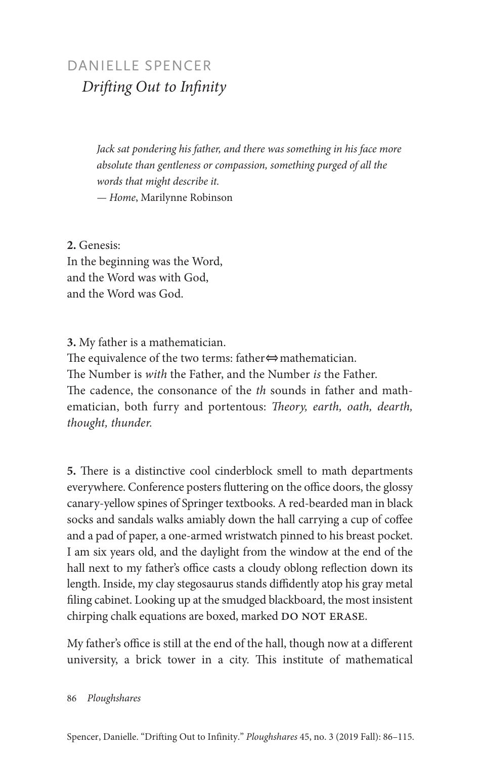## DANIELLE SPENCER *Drifting Out to Infinity*

*Jack sat pondering his father, and there was something in his face more absolute than gentleness or compassion, something purged of all the words that might describe it. — Home*, Marilynne Robinson

**2.** Genesis: In the beginning was the Word, and the Word was with God, and the Word was God.

**3.** My father is a mathematician.

The equivalence of the two terms: father⇔mathematician. The Number is *with* the Father, and the Number *is* the Father. The cadence, the consonance of the *th* sounds in father and mathematician, both furry and portentous: *Theory, earth, oath, dearth, thought, thunder.* 

**5.** There is a distinctive cool cinderblock smell to math departments everywhere. Conference posters fluttering on the office doors, the glossy canary-yellow spines of Springer textbooks. A red-bearded man in black socks and sandals walks amiably down the hall carrying a cup of coffee and a pad of paper, a one-armed wristwatch pinned to his breast pocket. I am six years old, and the daylight from the window at the end of the hall next to my father's office casts a cloudy oblong reflection down its length. Inside, my clay stegosaurus stands diffidently atop his gray metal filing cabinet. Looking up at the smudged blackboard, the most insistent chirping chalk equations are boxed, marked DO NOT ERASE.

My father's office is still at the end of the hall, though now at a different university, a brick tower in a city. This institute of mathematical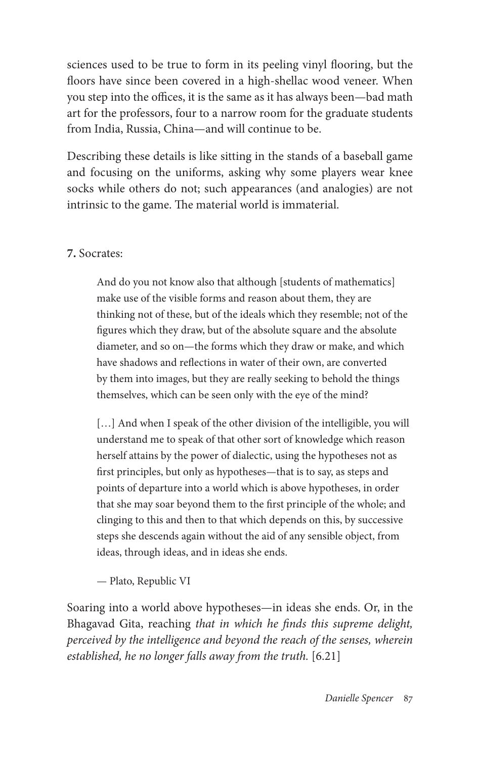sciences used to be true to form in its peeling vinyl flooring, but the floors have since been covered in a high-shellac wood veneer. When you step into the offices, it is the same as it has always been—bad math art for the professors, four to a narrow room for the graduate students from India, Russia, China—and will continue to be.

Describing these details is like sitting in the stands of a baseball game and focusing on the uniforms, asking why some players wear knee socks while others do not; such appearances (and analogies) are not intrinsic to the game. The material world is immaterial.

## **7.** Socrates:

And do you not know also that although [students of mathematics] make use of the visible forms and reason about them, they are thinking not of these, but of the ideals which they resemble; not of the figures which they draw, but of the absolute square and the absolute diameter, and so on—the forms which they draw or make, and which have shadows and reflections in water of their own, are converted by them into images, but they are really seeking to behold the things themselves, which can be seen only with the eye of the mind?

[...] And when I speak of the other division of the intelligible, you will understand me to speak of that other sort of knowledge which reason herself attains by the power of dialectic, using the hypotheses not as first principles, but only as hypotheses—that is to say, as steps and points of departure into a world which is above hypotheses, in order that she may soar beyond them to the first principle of the whole; and clinging to this and then to that which depends on this, by successive steps she descends again without the aid of any sensible object, from ideas, through ideas, and in ideas she ends.

— Plato, Republic VI

Soaring into a world above hypotheses—in ideas she ends. Or, in the Bhagavad Gita, reaching *that in which he finds this supreme delight, perceived by the intelligence and beyond the reach of the senses, wherein established, he no longer falls away from the truth.* [6.21]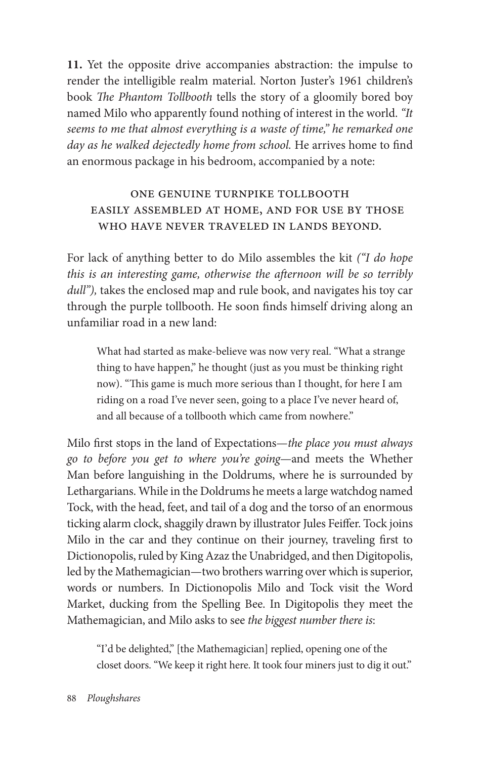**11.** Yet the opposite drive accompanies abstraction: the impulse to render the intelligible realm material. Norton Juster's 1961 children's book *The Phantom Tollbooth* tells the story of a gloomily bored boy named Milo who apparently found nothing of interest in the world. *"It seems to me that almost everything is a waste of time," he remarked one day as he walked dejectedly home from school.* He arrives home to find an enormous package in his bedroom, accompanied by a note:

## one genuine turnpike tollbooth easily assembled at home, and for use by those who have never traveled in lands beyond.

For lack of anything better to do Milo assembles the kit *("I do hope this is an interesting game, otherwise the afternoon will be so terribly dull"),* takes the enclosed map and rule book, and navigates his toy car through the purple tollbooth. He soon finds himself driving along an unfamiliar road in a new land:

What had started as make-believe was now very real. "What a strange thing to have happen," he thought (just as you must be thinking right now). "This game is much more serious than I thought, for here I am riding on a road I've never seen, going to a place I've never heard of, and all because of a tollbooth which came from nowhere."

Milo first stops in the land of Expectations—*the place you must always go to before you get to where you're going*—and meets the Whether Man before languishing in the Doldrums, where he is surrounded by Lethargarians. While in the Doldrums he meets a large watchdog named Tock, with the head, feet, and tail of a dog and the torso of an enormous ticking alarm clock, shaggily drawn by illustrator Jules Feiffer. Tock joins Milo in the car and they continue on their journey, traveling first to Dictionopolis, ruled by King Azaz the Unabridged, and then Digitopolis, led by the Mathemagician—two brothers warring over which is superior, words or numbers. In Dictionopolis Milo and Tock visit the Word Market, ducking from the Spelling Bee. In Digitopolis they meet the Mathemagician, and Milo asks to see *the biggest number there is*:

"I'd be delighted," [the Mathemagician] replied, opening one of the closet doors. "We keep it right here. It took four miners just to dig it out."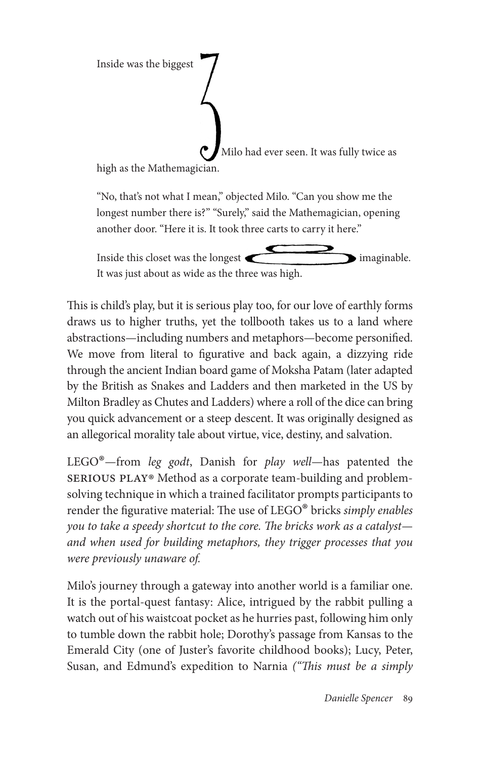Inside was the biggest Milo had ever seen. It was fully twice as high as the Mathemagician.

"No, that's not what I mean," objected Milo. "Can you show me the longest number there is?" "Surely," said the Mathemagician, opening another door. "Here it is. It took three carts to carry it here."

Inside this closet was the longest It was just about as wide as the three was high.

This is child's play, but it is serious play too, for our love of earthly forms draws us to higher truths, yet the tollbooth takes us to a land where abstractions—including numbers and metaphors—become personified. We move from literal to figurative and back again, a dizzying ride through the ancient Indian board game of Moksha Patam (later adapted by the British as Snakes and Ladders and then marketed in the US by Milton Bradley as Chutes and Ladders) where a roll of the dice can bring you quick advancement or a steep descent. It was originally designed as an allegorical morality tale about virtue, vice, destiny, and salvation.

LEGO®—from *leg godt*, Danish for *play well*—has patented the serious play® Method as a corporate team-building and problemsolving technique in which a trained facilitator prompts participants to render the figurative material: The use of LEGO® bricks *simply enables you to take a speedy shortcut to the core. The bricks work as a catalyst and when used for building metaphors, they trigger processes that you were previously unaware of.*

Milo's journey through a gateway into another world is a familiar one. It is the portal-quest fantasy: Alice, intrigued by the rabbit pulling a watch out of his waistcoat pocket as he hurries past, following him only to tumble down the rabbit hole; Dorothy's passage from Kansas to the Emerald City (one of Juster's favorite childhood books); Lucy, Peter, Susan, and Edmund's expedition to Narnia *("This must be a simply*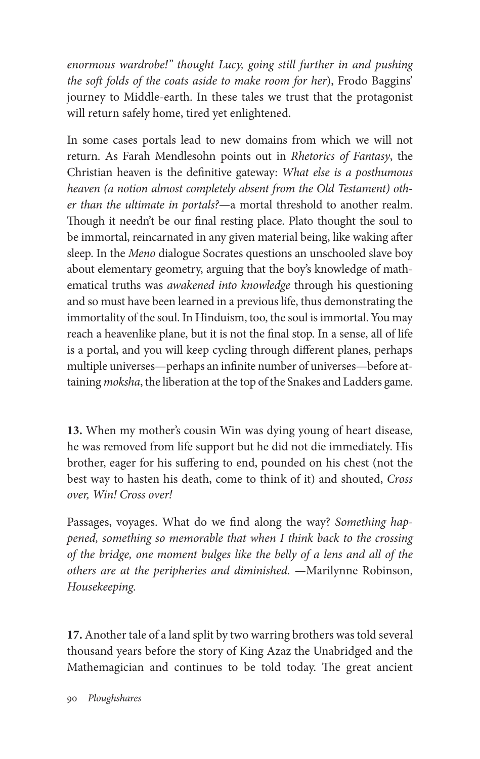*enormous wardrobe!" thought Lucy, going still further in and pushing the soft folds of the coats aside to make room for her*), Frodo Baggins' journey to Middle-earth. In these tales we trust that the protagonist will return safely home, tired yet enlightened.

In some cases portals lead to new domains from which we will not return. As Farah Mendlesohn points out in *Rhetorics of Fantasy*, the Christian heaven is the definitive gateway: *What else is a posthumous heaven (a notion almost completely absent from the Old Testament) other than the ultimate in portals?*—a mortal threshold to another realm. Though it needn't be our final resting place. Plato thought the soul to be immortal, reincarnated in any given material being, like waking after sleep. In the *Meno* dialogue Socrates questions an unschooled slave boy about elementary geometry, arguing that the boy's knowledge of mathematical truths was *awakened into knowledge* through his questioning and so must have been learned in a previous life, thus demonstrating the immortality of the soul. In Hinduism, too, the soul is immortal. You may reach a heavenlike plane, but it is not the final stop. In a sense, all of life is a portal, and you will keep cycling through different planes, perhaps multiple universes—perhaps an infinite number of universes—before attaining *moksha*, the liberation at the top of the Snakes and Ladders game.

**13.** When my mother's cousin Win was dying young of heart disease, he was removed from life support but he did not die immediately. His brother, eager for his suffering to end, pounded on his chest (not the best way to hasten his death, come to think of it) and shouted, *Cross over, Win! Cross over!*

Passages, voyages. What do we find along the way? *Something happened, something so memorable that when I think back to the crossing of the bridge, one moment bulges like the belly of a lens and all of the others are at the peripheries and diminished.* —Marilynne Robinson, *Housekeeping.* 

**17.** Another tale of a land split by two warring brothers was told several thousand years before the story of King Azaz the Unabridged and the Mathemagician and continues to be told today. The great ancient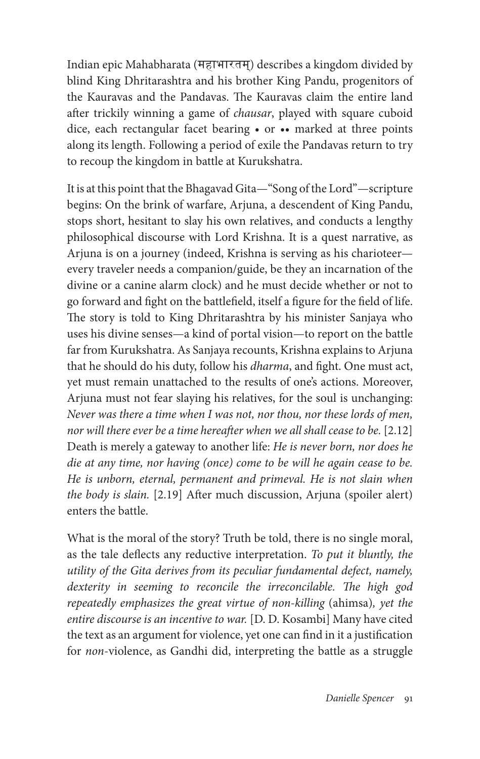Indian epic Mahabharata (महाभारतम्) describes a kingdom divided by blind King Dhritarashtra and his brother King Pandu, progenitors of the Kauravas and the Pandavas. The Kauravas claim the entire land after trickily winning a game of *chausar*, played with square cuboid dice, each rectangular facet bearing • or •• marked at three points along its length. Following a period of exile the Pandavas return to try to recoup the kingdom in battle at Kurukshatra.

It is at this point that the Bhagavad Gita—"Song of the Lord"—scripture begins: On the brink of warfare, Arjuna, a descendent of King Pandu, stops short, hesitant to slay his own relatives, and conducts a lengthy philosophical discourse with Lord Krishna. It is a quest narrative, as Arjuna is on a journey (indeed, Krishna is serving as his charioteer every traveler needs a companion/guide, be they an incarnation of the divine or a canine alarm clock) and he must decide whether or not to go forward and fight on the battlefield, itself a figure for the field of life. The story is told to King Dhritarashtra by his minister Sanjaya who uses his divine senses—a kind of portal vision—to report on the battle far from Kurukshatra. As Sanjaya recounts, Krishna explains to Arjuna that he should do his duty, follow his *dharma*, and fight. One must act, yet must remain unattached to the results of one's actions. Moreover, Arjuna must not fear slaying his relatives, for the soul is unchanging: *Never was there a time when I was not, nor thou, nor these lords of men, nor will there ever be a time hereafter when we all shall cease to be.* [2.12] Death is merely a gateway to another life: *He is never born, nor does he die at any time, nor having (once) come to be will he again cease to be. He is unborn, eternal, permanent and primeval. He is not slain when the body is slain.* [2.19] After much discussion, Arjuna (spoiler alert) enters the battle.

What is the moral of the story? Truth be told, there is no single moral, as the tale deflects any reductive interpretation. *To put it bluntly, the utility of the Gita derives from its peculiar fundamental defect, namely, dexterity in seeming to reconcile the irreconcilable. The high god repeatedly emphasizes the great virtue of non-killing* (ahimsa)*, yet the entire discourse is an incentive to war.* [D. D. Kosambi] Many have cited the text as an argument for violence, yet one can find in it a justification for *non*-violence, as Gandhi did, interpreting the battle as a struggle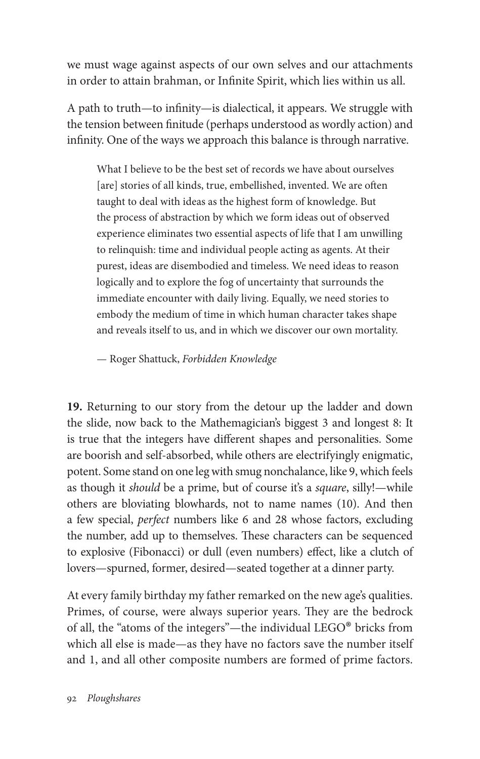we must wage against aspects of our own selves and our attachments in order to attain brahman, or Infinite Spirit, which lies within us all.

A path to truth—to infinity—is dialectical, it appears. We struggle with the tension between finitude (perhaps understood as wordly action) and infinity. One of the ways we approach this balance is through narrative.

What I believe to be the best set of records we have about ourselves [are] stories of all kinds, true, embellished, invented. We are often taught to deal with ideas as the highest form of knowledge. But the process of abstraction by which we form ideas out of observed experience eliminates two essential aspects of life that I am unwilling to relinquish: time and individual people acting as agents. At their purest, ideas are disembodied and timeless. We need ideas to reason logically and to explore the fog of uncertainty that surrounds the immediate encounter with daily living. Equally, we need stories to embody the medium of time in which human character takes shape and reveals itself to us, and in which we discover our own mortality.

— Roger Shattuck, *Forbidden Knowledge* 

**19.** Returning to our story from the detour up the ladder and down the slide, now back to the Mathemagician's biggest 3 and longest 8: It is true that the integers have different shapes and personalities. Some are boorish and self-absorbed, while others are electrifyingly enigmatic, potent. Some stand on one leg with smug nonchalance, like 9, which feels as though it *should* be a prime, but of course it's a *square*, silly!—while others are bloviating blowhards, not to name names (10). And then a few special, *perfect* numbers like 6 and 28 whose factors, excluding the number, add up to themselves. These characters can be sequenced to explosive (Fibonacci) or dull (even numbers) effect, like a clutch of lovers—spurned, former, desired—seated together at a dinner party.

At every family birthday my father remarked on the new age's qualities. Primes, of course, were always superior years. They are the bedrock of all, the "atoms of the integers"—the individual LEGO® bricks from which all else is made—as they have no factors save the number itself and 1, and all other composite numbers are formed of prime factors.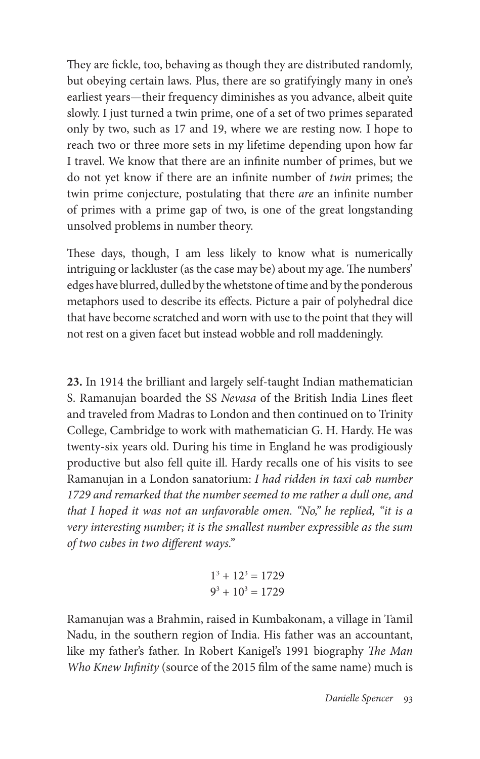They are fickle, too, behaving as though they are distributed randomly, but obeying certain laws. Plus, there are so gratifyingly many in one's earliest years—their frequency diminishes as you advance, albeit quite slowly. I just turned a twin prime, one of a set of two primes separated only by two, such as 17 and 19, where we are resting now. I hope to reach two or three more sets in my lifetime depending upon how far I travel. We know that there are an infinite number of primes, but we do not yet know if there are an infinite number of *twin* primes; the twin prime conjecture, postulating that there *are* an infinite number of primes with a prime gap of two, is one of the great longstanding unsolved problems in number theory.

These days, though, I am less likely to know what is numerically intriguing or lackluster (as the case may be) about my age. The numbers' edges have blurred, dulled by the whetstone of time and by the ponderous metaphors used to describe its effects. Picture a pair of polyhedral dice that have become scratched and worn with use to the point that they will not rest on a given facet but instead wobble and roll maddeningly.

**23.** In 1914 the brilliant and largely self-taught Indian mathematician S. Ramanujan boarded the SS *Nevasa* of the British India Lines fleet and traveled from Madras to London and then continued on to Trinity College, Cambridge to work with mathematician G. H. Hardy. He was twenty-six years old. During his time in England he was prodigiously productive but also fell quite ill. Hardy recalls one of his visits to see Ramanujan in a London sanatorium: *I had ridden in taxi cab number 1729 and remarked that the number seemed to me rather a dull one, and that I hoped it was not an unfavorable omen. "No," he replied, "it is a very interesting number; it is the smallest number expressible as the sum of two cubes in two different ways."*

$$
13 + 123 = 1729
$$

$$
93 + 103 = 1729
$$

Ramanujan was a Brahmin, raised in Kumbakonam, a village in Tamil Nadu, in the southern region of India. His father was an accountant, like my father's father. In Robert Kanigel's 1991 biography *The Man Who Knew Infinity* (source of the 2015 film of the same name) much is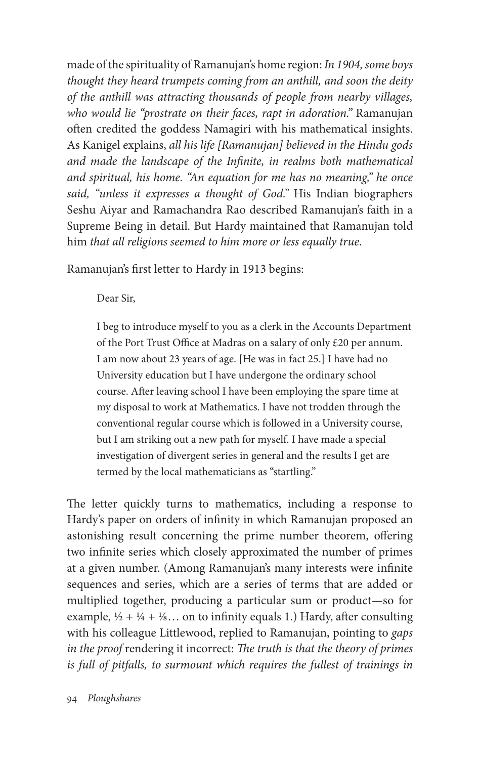made of the spirituality of Ramanujan's home region: *In 1904, some boys thought they heard trumpets coming from an anthill, and soon the deity of the anthill was attracting thousands of people from nearby villages, who would lie "prostrate on their faces, rapt in adoration."* Ramanujan often credited the goddess Namagiri with his mathematical insights. As Kanigel explains, *all his life [Ramanujan] believed in the Hindu gods and made the landscape of the Infinite, in realms both mathematical and spiritual, his home. "An equation for me has no meaning," he once said, "unless it expresses a thought of God."* His Indian biographers Seshu Aiyar and Ramachandra Rao described Ramanujan's faith in a Supreme Being in detail. But Hardy maintained that Ramanujan told him *that all religions seemed to him more or less equally true*.

Ramanujan's first letter to Hardy in 1913 begins:

Dear Sir,

I beg to introduce myself to you as a clerk in the Accounts Department of the Port Trust Office at Madras on a salary of only £20 per annum. I am now about 23 years of age. [He was in fact 25.] I have had no University education but I have undergone the ordinary school course. After leaving school I have been employing the spare time at my disposal to work at Mathematics. I have not trodden through the conventional regular course which is followed in a University course, but I am striking out a new path for myself. I have made a special investigation of divergent series in general and the results I get are termed by the local mathematicians as "startling."

The letter quickly turns to mathematics, including a response to Hardy's paper on orders of infinity in which Ramanujan proposed an astonishing result concerning the prime number theorem, offering two infinite series which closely approximated the number of primes at a given number. (Among Ramanujan's many interests were infinite sequences and series, which are a series of terms that are added or multiplied together, producing a particular sum or product—so for example,  $\frac{1}{2} + \frac{1}{4} + \frac{1}{8}$ ... on to infinity equals 1.) Hardy, after consulting with his colleague Littlewood, replied to Ramanujan, pointing to *gaps in the proof* rendering it incorrect: *The truth is that the theory of primes is full of pitfalls, to surmount which requires the fullest of trainings in*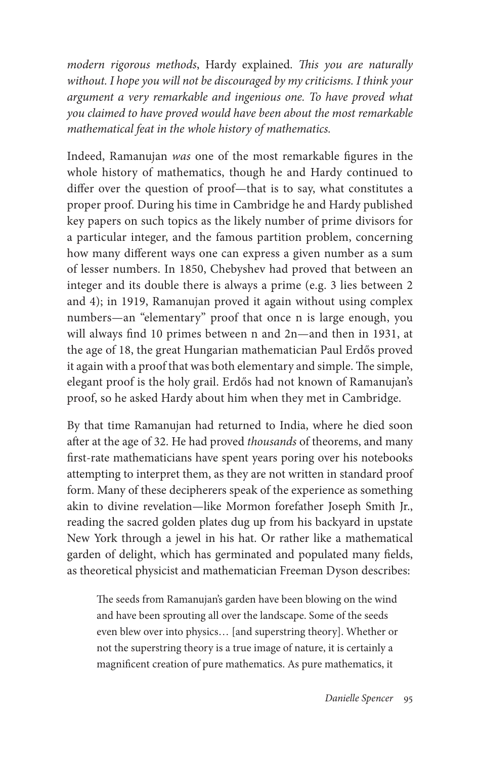*modern rigorous methods*, Hardy explained. *This you are naturally without. I hope you will not be discouraged by my criticisms. I think your argument a very remarkable and ingenious one. To have proved what you claimed to have proved would have been about the most remarkable mathematical feat in the whole history of mathematics.*

Indeed, Ramanujan *was* one of the most remarkable figures in the whole history of mathematics, though he and Hardy continued to differ over the question of proof—that is to say, what constitutes a proper proof. During his time in Cambridge he and Hardy published key papers on such topics as the likely number of prime divisors for a particular integer, and the famous partition problem, concerning how many different ways one can express a given number as a sum of lesser numbers. In 1850, Chebyshev had proved that between an integer and its double there is always a prime (e.g. 3 lies between 2 and 4); in 1919, Ramanujan proved it again without using complex numbers—an "elementary" proof that once n is large enough, you will always find 10 primes between n and 2n—and then in 1931, at the age of 18, the great Hungarian mathematician Paul Erdős proved it again with a proof that was both elementary and simple. The simple, elegant proof is the holy grail. Erdős had not known of Ramanujan's proof, so he asked Hardy about him when they met in Cambridge.

By that time Ramanujan had returned to India, where he died soon after at the age of 32. He had proved *thousands* of theorems, and many first-rate mathematicians have spent years poring over his notebooks attempting to interpret them, as they are not written in standard proof form. Many of these decipherers speak of the experience as something akin to divine revelation—like Mormon forefather Joseph Smith Jr., reading the sacred golden plates dug up from his backyard in upstate New York through a jewel in his hat. Or rather like a mathematical garden of delight, which has germinated and populated many fields, as theoretical physicist and mathematician Freeman Dyson describes:

The seeds from Ramanujan's garden have been blowing on the wind and have been sprouting all over the landscape. Some of the seeds even blew over into physics… [and superstring theory]. Whether or not the superstring theory is a true image of nature, it is certainly a magnificent creation of pure mathematics. As pure mathematics, it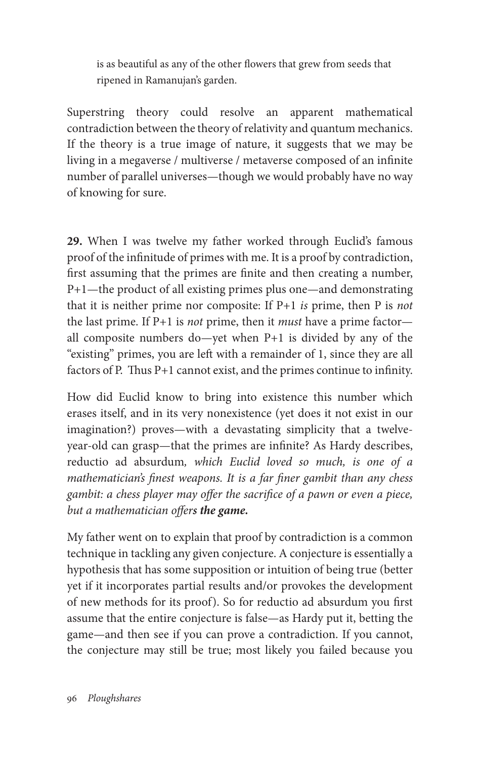is as beautiful as any of the other flowers that grew from seeds that ripened in Ramanujan's garden.

Superstring theory could resolve an apparent mathematical contradiction between the theory of relativity and quantum mechanics. If the theory is a true image of nature, it suggests that we may be living in a megaverse / multiverse / metaverse composed of an infinite number of parallel universes—though we would probably have no way of knowing for sure.

**29.** When I was twelve my father worked through Euclid's famous proof of the infinitude of primes with me. It is a proof by contradiction, first assuming that the primes are finite and then creating a number, P+1—the product of all existing primes plus one—and demonstrating that it is neither prime nor composite: If P+1 *is* prime, then P is *not* the last prime. If P+1 is *not* prime, then it *must* have a prime factor all composite numbers do—yet when P+1 is divided by any of the "existing" primes, you are left with a remainder of 1, since they are all factors of P. Thus P+1 cannot exist, and the primes continue to infinity.

How did Euclid know to bring into existence this number which erases itself, and in its very nonexistence (yet does it not exist in our imagination?) proves—with a devastating simplicity that a twelveyear-old can grasp—that the primes are infinite? As Hardy describes, reductio ad absurdum*, which Euclid loved so much, is one of a mathematician's finest weapons. It is a far finer gambit than any chess gambit: a chess player may offer the sacrifice of a pawn or even a piece, but a mathematician offers the game.*

My father went on to explain that proof by contradiction is a common technique in tackling any given conjecture. A conjecture is essentially a hypothesis that has some supposition or intuition of being true (better yet if it incorporates partial results and/or provokes the development of new methods for its proof). So for reductio ad absurdum you first assume that the entire conjecture is false—as Hardy put it, betting the game—and then see if you can prove a contradiction. If you cannot, the conjecture may still be true; most likely you failed because you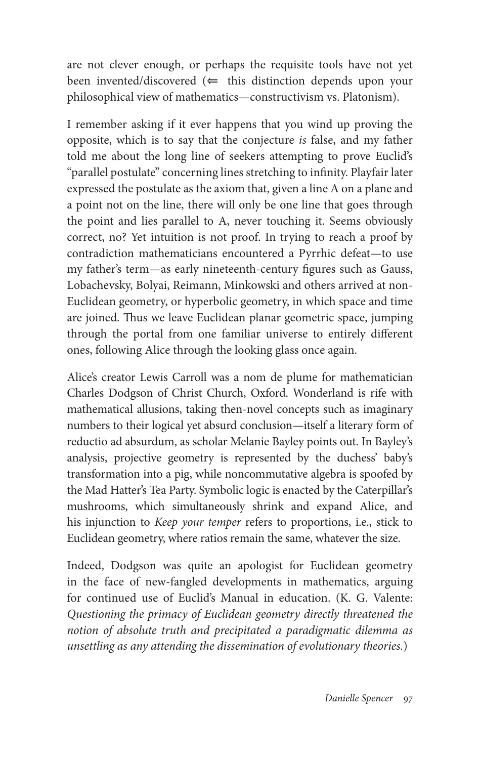are not clever enough, or perhaps the requisite tools have not yet been invented/discovered  $($   $\Leftarrow$  this distinction depends upon your philosophical view of mathematics—constructivism vs. Platonism).

I remember asking if it ever happens that you wind up proving the opposite, which is to say that the conjecture *is* false, and my father told me about the long line of seekers attempting to prove Euclid's "parallel postulate" concerning lines stretching to infinity. Playfair later expressed the postulate as the axiom that, given a line A on a plane and a point not on the line, there will only be one line that goes through the point and lies parallel to A, never touching it. Seems obviously correct, no? Yet intuition is not proof. In trying to reach a proof by contradiction mathematicians encountered a Pyrrhic defeat—to use my father's term—as early nineteenth-century figures such as Gauss, Lobachevsky, Bolyai, Reimann, Minkowski and others arrived at non-Euclidean geometry, or hyperbolic geometry, in which space and time are joined. Thus we leave Euclidean planar geometric space, jumping through the portal from one familiar universe to entirely different ones, following Alice through the looking glass once again.

Alice's creator Lewis Carroll was a nom de plume for mathematician Charles Dodgson of Christ Church, Oxford. Wonderland is rife with mathematical allusions, taking then-novel concepts such as imaginary numbers to their logical yet absurd conclusion—itself a literary form of reductio ad absurdum, as scholar Melanie Bayley points out. In Bayley's analysis, projective geometry is represented by the duchess' baby's transformation into a pig, while noncommutative algebra is spoofed by the Mad Hatter's Tea Party. Symbolic logic is enacted by the Caterpillar's mushrooms, which simultaneously shrink and expand Alice, and his injunction to *Keep your temper* refers to proportions, i.e., stick to Euclidean geometry, where ratios remain the same, whatever the size.

Indeed, Dodgson was quite an apologist for Euclidean geometry in the face of new-fangled developments in mathematics, arguing for continued use of Euclid's Manual in education. (K. G. Valente: *Questioning the primacy of Euclidean geometry directly threatened the notion of absolute truth and precipitated a paradigmatic dilemma as unsettling as any attending the dissemination of evolutionary theories.*)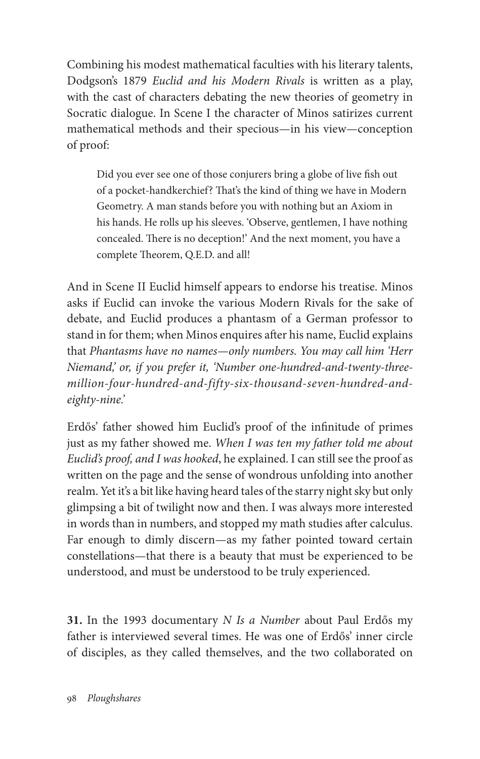Combining his modest mathematical faculties with his literary talents, Dodgson's 1879 *Euclid and his Modern Rivals* is written as a play, with the cast of characters debating the new theories of geometry in Socratic dialogue. In Scene I the character of Minos satirizes current mathematical methods and their specious—in his view—conception of proof:

Did you ever see one of those conjurers bring a globe of live fish out of a pocket-handkerchief? That's the kind of thing we have in Modern Geometry. A man stands before you with nothing but an Axiom in his hands. He rolls up his sleeves. 'Observe, gentlemen, I have nothing concealed. There is no deception!' And the next moment, you have a complete Theorem, Q.E.D. and all!

And in Scene II Euclid himself appears to endorse his treatise. Minos asks if Euclid can invoke the various Modern Rivals for the sake of debate, and Euclid produces a phantasm of a German professor to stand in for them; when Minos enquires after his name, Euclid explains that *Phantasms have no names—only numbers. You may call him 'Herr Niemand,' or, if you prefer it, 'Number one-hundred-and-twenty-threemillion-four-hundred-and-fifty-six-thousand-seven-hundred-andeighty-nine.'*

Erdős' father showed him Euclid's proof of the infinitude of primes just as my father showed me. *When I was ten my father told me about Euclid's proof, and I was hooked*, he explained. I can still see the proof as written on the page and the sense of wondrous unfolding into another realm. Yet it's a bit like having heard tales of the starry night sky but only glimpsing a bit of twilight now and then. I was always more interested in words than in numbers, and stopped my math studies after calculus. Far enough to dimly discern—as my father pointed toward certain constellations—that there is a beauty that must be experienced to be understood, and must be understood to be truly experienced.

**31.** In the 1993 documentary *N Is a Number* about Paul Erdős my father is interviewed several times. He was one of Erdős' inner circle of disciples, as they called themselves, and the two collaborated on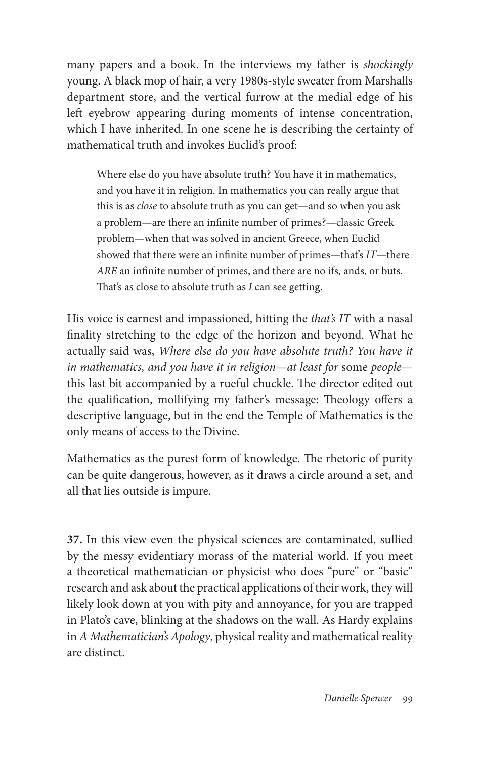many papers and a book. In the interviews my father is *shockingly* young. A black mop of hair, a very 1980s-style sweater from Marshalls department store, and the vertical furrow at the medial edge of his left eyebrow appearing during moments of intense concentration, which I have inherited. In one scene he is describing the certainty of mathematical truth and invokes Euclid's proof:

Where else do you have absolute truth? You have it in mathematics, and you have it in religion. In mathematics you can really argue that this is as *close* to absolute truth as you can get—and so when you ask a problem—are there an infinite number of primes?—classic Greek problem—when that was solved in ancient Greece, when Euclid showed that there were an infinite number of primes—that's *IT*—there *ARE* an infinite number of primes, and there are no ifs, ands, or buts. That's as close to absolute truth as *I* can see getting.

His voice is earnest and impassioned, hitting the *that's IT* with a nasal finality stretching to the edge of the horizon and beyond. What he actually said was, *Where else do you have absolute truth? You have it in mathematics, and you have it in religion—at least for* some *people* this last bit accompanied by a rueful chuckle. The director edited out the qualification, mollifying my father's message: Theology offers a descriptive language, but in the end the Temple of Mathematics is the only means of access to the Divine.

Mathematics as the purest form of knowledge. The rhetoric of purity can be quite dangerous, however, as it draws a circle around a set, and all that lies outside is impure.

**37.** In this view even the physical sciences are contaminated, sullied by the messy evidentiary morass of the material world. If you meet a theoretical mathematician or physicist who does "pure" or "basic" research and ask about the practical applications of their work, they will likely look down at you with pity and annoyance, for you are trapped in Plato's cave, blinking at the shadows on the wall. As Hardy explains in *A Mathematician's Apology*, physical reality and mathematical reality are distinct.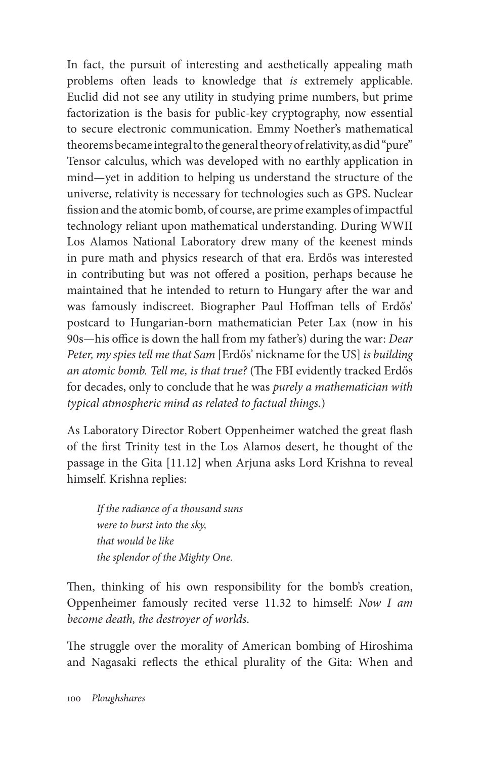In fact, the pursuit of interesting and aesthetically appealing math problems often leads to knowledge that *is* extremely applicable. Euclid did not see any utility in studying prime numbers, but prime factorization is the basis for public-key cryptography, now essential to secure electronic communication. Emmy Noether's mathematical theorems became integral to the general theory of relativity, as did "pure" Tensor calculus, which was developed with no earthly application in mind—yet in addition to helping us understand the structure of the universe, relativity is necessary for technologies such as GPS. Nuclear fission and the atomic bomb, of course, are prime examples of impactful technology reliant upon mathematical understanding. During WWII Los Alamos National Laboratory drew many of the keenest minds in pure math and physics research of that era. Erdős was interested in contributing but was not offered a position, perhaps because he maintained that he intended to return to Hungary after the war and was famously indiscreet. Biographer Paul Hoffman tells of Erdős' postcard to Hungarian-born mathematician Peter Lax (now in his 90s—his office is down the hall from my father's) during the war: *Dear Peter, my spies tell me that Sam* [Erdős' nickname for the US] *is building an atomic bomb. Tell me, is that true?* (The FBI evidently tracked Erdős for decades, only to conclude that he was *purely a mathematician with typical atmospheric mind as related to factual things.*)

As Laboratory Director Robert Oppenheimer watched the great flash of the first Trinity test in the Los Alamos desert, he thought of the passage in the Gita [11.12] when Arjuna asks Lord Krishna to reveal himself. Krishna replies:

*If the radiance of a thousand suns were to burst into the sky, that would be like the splendor of the Mighty One.* 

Then, thinking of his own responsibility for the bomb's creation, Oppenheimer famously recited verse 11.32 to himself: *Now I am become death, the destroyer of worlds*.

The struggle over the morality of American bombing of Hiroshima and Nagasaki reflects the ethical plurality of the Gita: When and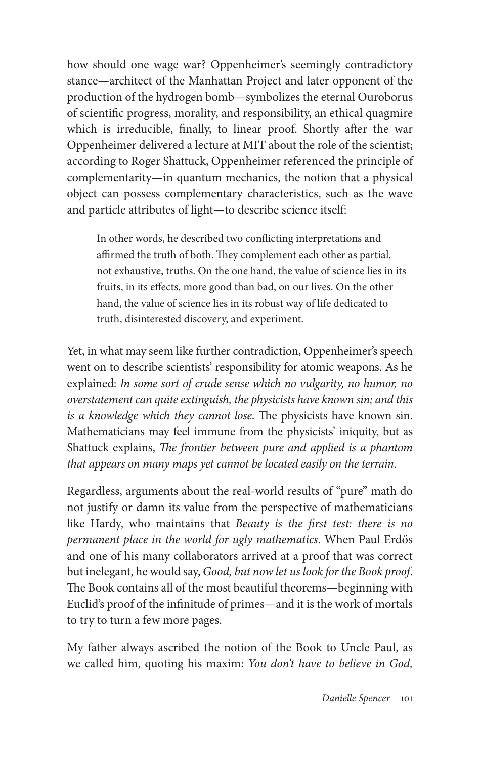how should one wage war? Oppenheimer's seemingly contradictory stance—architect of the Manhattan Project and later opponent of the production of the hydrogen bomb—symbolizes the eternal Ouroborus of scientific progress, morality, and responsibility, an ethical quagmire which is irreducible, finally, to linear proof. Shortly after the war Oppenheimer delivered a lecture at MIT about the role of the scientist; according to Roger Shattuck, Oppenheimer referenced the principle of complementarity—in quantum mechanics, the notion that a physical object can possess complementary characteristics, such as the wave and particle attributes of light—to describe science itself:

In other words, he described two conflicting interpretations and affirmed the truth of both. They complement each other as partial, not exhaustive, truths. On the one hand, the value of science lies in its fruits, in its effects, more good than bad, on our lives. On the other hand, the value of science lies in its robust way of life dedicated to truth, disinterested discovery, and experiment.

Yet, in what may seem like further contradiction, Oppenheimer's speech went on to describe scientists' responsibility for atomic weapons. As he explained: *In some sort of crude sense which no vulgarity, no humor, no overstatement can quite extinguish, the physicists have known sin; and this is a knowledge which they cannot lose*. The physicists have known sin. Mathematicians may feel immune from the physicists' iniquity, but as Shattuck explains, *The frontier between pure and applied is a phantom that appears on many maps yet cannot be located easily on the terrain*.

Regardless, arguments about the real-world results of "pure" math do not justify or damn its value from the perspective of mathematicians like Hardy, who maintains that *Beauty is the first test: there is no permanent place in the world for ugly mathematics*. When Paul Erdős and one of his many collaborators arrived at a proof that was correct but inelegant, he would say, *Good, but now let us look for the Book proof*. The Book contains all of the most beautiful theorems—beginning with Euclid's proof of the infinitude of primes—and it is the work of mortals to try to turn a few more pages.

My father always ascribed the notion of the Book to Uncle Paul, as we called him, quoting his maxim: *You don't have to believe in God,*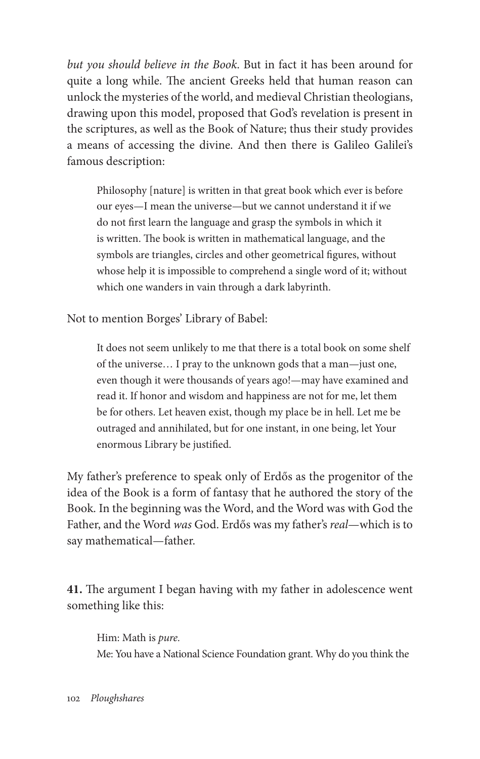*but you should believe in the Book*. But in fact it has been around for quite a long while. The ancient Greeks held that human reason can unlock the mysteries of the world, and medieval Christian theologians, drawing upon this model, proposed that God's revelation is present in the scriptures, as well as the Book of Nature; thus their study provides a means of accessing the divine. And then there is Galileo Galilei's famous description:

Philosophy [nature] is written in that great book which ever is before our eyes—I mean the universe—but we cannot understand it if we do not first learn the language and grasp the symbols in which it is written. The book is written in mathematical language, and the symbols are triangles, circles and other geometrical figures, without whose help it is impossible to comprehend a single word of it; without which one wanders in vain through a dark labyrinth.

Not to mention Borges' Library of Babel:

It does not seem unlikely to me that there is a total book on some shelf of the universe… I pray to the unknown gods that a man—just one, even though it were thousands of years ago!—may have examined and read it. If honor and wisdom and happiness are not for me, let them be for others. Let heaven exist, though my place be in hell. Let me be outraged and annihilated, but for one instant, in one being, let Your enormous Library be justified.

My father's preference to speak only of Erdős as the progenitor of the idea of the Book is a form of fantasy that he authored the story of the Book. In the beginning was the Word, and the Word was with God the Father, and the Word *was* God. Erdős was my father's *real*—which is to say mathematical—father.

**41.** The argument I began having with my father in adolescence went something like this:

Him: Math is *pure.*  Me: You have a National Science Foundation grant. Why do you think the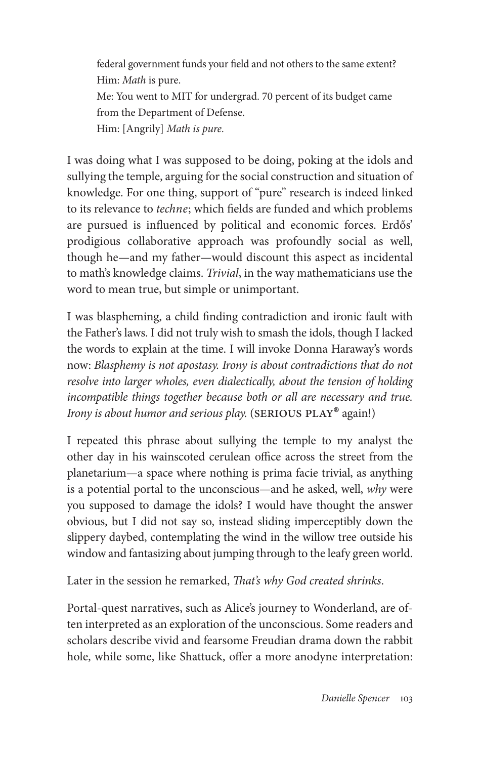federal government funds your field and not others to the same extent? Him: *Math* is pure. Me: You went to MIT for undergrad. 70 percent of its budget came from the Department of Defense. Him: [Angrily] *Math is pure.* 

I was doing what I was supposed to be doing, poking at the idols and sullying the temple, arguing for the social construction and situation of knowledge. For one thing, support of "pure" research is indeed linked to its relevance to *techne*; which fields are funded and which problems are pursued is influenced by political and economic forces. Erdős' prodigious collaborative approach was profoundly social as well, though he—and my father—would discount this aspect as incidental to math's knowledge claims. *Trivial*, in the way mathematicians use the word to mean true, but simple or unimportant.

I was blaspheming, a child finding contradiction and ironic fault with the Father's laws. I did not truly wish to smash the idols, though I lacked the words to explain at the time. I will invoke Donna Haraway's words now: *Blasphemy is not apostasy. Irony is about contradictions that do not resolve into larger wholes, even dialectically, about the tension of holding incompatible things together because both or all are necessary and true. Irony is about humor and serious play.* (SERIOUS PLAY® again!)

I repeated this phrase about sullying the temple to my analyst the other day in his wainscoted cerulean office across the street from the planetarium—a space where nothing is prima facie trivial, as anything is a potential portal to the unconscious—and he asked, well, *why* were you supposed to damage the idols? I would have thought the answer obvious, but I did not say so, instead sliding imperceptibly down the slippery daybed, contemplating the wind in the willow tree outside his window and fantasizing about jumping through to the leafy green world.

Later in the session he remarked, *That's why God created shrinks*.

Portal-quest narratives, such as Alice's journey to Wonderland, are often interpreted as an exploration of the unconscious. Some readers and scholars describe vivid and fearsome Freudian drama down the rabbit hole, while some, like Shattuck, offer a more anodyne interpretation: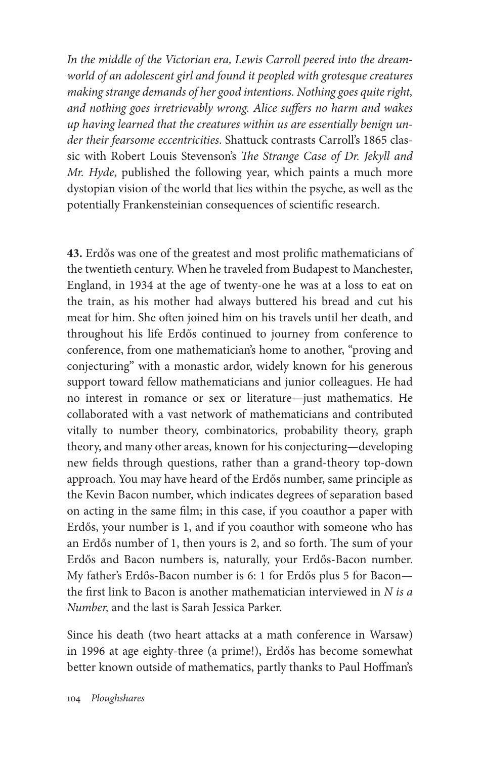*In the middle of the Victorian era, Lewis Carroll peered into the dreamworld of an adolescent girl and found it peopled with grotesque creatures making strange demands of her good intentions. Nothing goes quite right, and nothing goes irretrievably wrong. Alice suffers no harm and wakes up having learned that the creatures within us are essentially benign under their fearsome eccentricities*. Shattuck contrasts Carroll's 1865 classic with Robert Louis Stevenson's *The Strange Case of Dr. Jekyll and Mr. Hyde*, published the following year, which paints a much more dystopian vision of the world that lies within the psyche, as well as the potentially Frankensteinian consequences of scientific research.

**43.** Erdős was one of the greatest and most prolific mathematicians of the twentieth century. When he traveled from Budapest to Manchester, England, in 1934 at the age of twenty-one he was at a loss to eat on the train, as his mother had always buttered his bread and cut his meat for him. She often joined him on his travels until her death, and throughout his life Erdős continued to journey from conference to conference, from one mathematician's home to another, "proving and conjecturing" with a monastic ardor, widely known for his generous support toward fellow mathematicians and junior colleagues. He had no interest in romance or sex or literature—just mathematics. He collaborated with a vast network of mathematicians and contributed vitally to number theory, combinatorics, probability theory, graph theory, and many other areas, known for his conjecturing—developing new fields through questions, rather than a grand-theory top-down approach. You may have heard of the Erdős number, same principle as the Kevin Bacon number, which indicates degrees of separation based on acting in the same film; in this case, if you coauthor a paper with Erdős, your number is 1, and if you coauthor with someone who has an Erdős number of 1, then yours is 2, and so forth. The sum of your Erdős and Bacon numbers is, naturally, your Erdős-Bacon number. My father's Erdős-Bacon number is 6: 1 for Erdős plus 5 for Bacon the first link to Bacon is another mathematician interviewed in *N is a Number,* and the last is Sarah Jessica Parker.

Since his death (two heart attacks at a math conference in Warsaw) in 1996 at age eighty-three (a prime!), Erdős has become somewhat better known outside of mathematics, partly thanks to Paul Hoffman's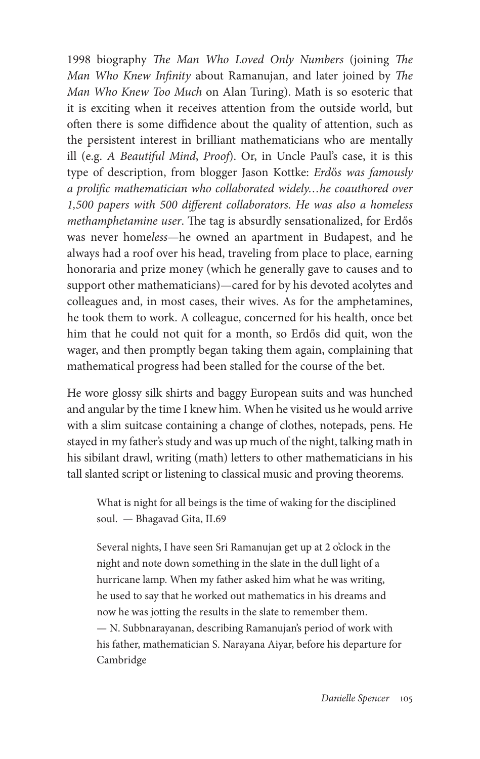1998 biography *The Man Who Loved Only Numbers* (joining *The Man Who Knew Infinity* about Ramanujan, and later joined by *The Man Who Knew Too Much* on Alan Turing). Math is so esoteric that it is exciting when it receives attention from the outside world, but often there is some diffidence about the quality of attention, such as the persistent interest in brilliant mathematicians who are mentally ill (e.g. *A Beautiful Mind*, *Proof*). Or, in Uncle Paul's case, it is this type of description, from blogger Jason Kottke: *Erd*ő*s was famously a prolific mathematician who collaborated widely…he coauthored over 1,500 papers with 500 different collaborators. He was also a homeless methamphetamine user*. The tag is absurdly sensationalized, for Erdős was never home*less*—he owned an apartment in Budapest, and he always had a roof over his head, traveling from place to place, earning honoraria and prize money (which he generally gave to causes and to support other mathematicians)—cared for by his devoted acolytes and colleagues and, in most cases, their wives. As for the amphetamines, he took them to work. A colleague, concerned for his health, once bet him that he could not quit for a month, so Erdős did quit, won the wager, and then promptly began taking them again, complaining that mathematical progress had been stalled for the course of the bet.

He wore glossy silk shirts and baggy European suits and was hunched and angular by the time I knew him. When he visited us he would arrive with a slim suitcase containing a change of clothes, notepads, pens. He stayed in my father's study and was up much of the night, talking math in his sibilant drawl, writing (math) letters to other mathematicians in his tall slanted script or listening to classical music and proving theorems.

What is night for all beings is the time of waking for the disciplined soul. — Bhagavad Gita, II.69

Several nights, I have seen Sri Ramanujan get up at 2 o'clock in the night and note down something in the slate in the dull light of a hurricane lamp. When my father asked him what he was writing, he used to say that he worked out mathematics in his dreams and now he was jotting the results in the slate to remember them. — N. Subbnarayanan, describing Ramanujan's period of work with his father, mathematician S. Narayana Aiyar, before his departure for Cambridge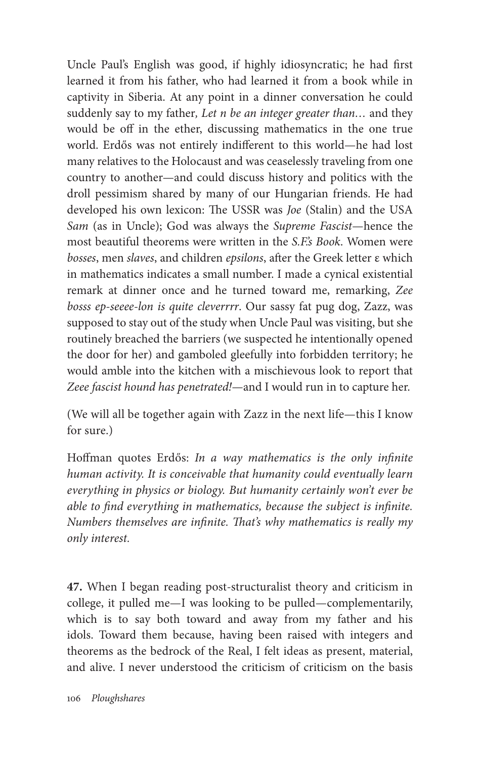Uncle Paul's English was good, if highly idiosyncratic; he had first learned it from his father, who had learned it from a book while in captivity in Siberia. At any point in a dinner conversation he could suddenly say to my father*, Let n be an integer greater than…* and they would be off in the ether, discussing mathematics in the one true world. Erdős was not entirely indifferent to this world—he had lost many relatives to the Holocaust and was ceaselessly traveling from one country to another—and could discuss history and politics with the droll pessimism shared by many of our Hungarian friends. He had developed his own lexicon: The USSR was *Joe* (Stalin) and the USA *Sam* (as in Uncle); God was always the *Supreme Fascist*—hence the most beautiful theorems were written in the *S.F.'s Book*. Women were *bosses*, men *slaves*, and children *epsilons*, after the Greek letter ε which in mathematics indicates a small number. I made a cynical existential remark at dinner once and he turned toward me, remarking, *Zee bosss ep-seeee-lon is quite cleverrrr*. Our sassy fat pug dog, Zazz, was supposed to stay out of the study when Uncle Paul was visiting, but she routinely breached the barriers (we suspected he intentionally opened the door for her) and gamboled gleefully into forbidden territory; he would amble into the kitchen with a mischievous look to report that *Zeee fascist hound has penetrated!*—and I would run in to capture her.

(We will all be together again with Zazz in the next life—this I know for sure.)

Hoffman quotes Erdős: *In a way mathematics is the only infinite human activity. It is conceivable that humanity could eventually learn everything in physics or biology. But humanity certainly won't ever be able to find everything in mathematics, because the subject is infinite. Numbers themselves are infinite. That's why mathematics is really my only interest.*

**47.** When I began reading post-structuralist theory and criticism in college, it pulled me—I was looking to be pulled—complementarily, which is to say both toward and away from my father and his idols. Toward them because, having been raised with integers and theorems as the bedrock of the Real, I felt ideas as present, material, and alive. I never understood the criticism of criticism on the basis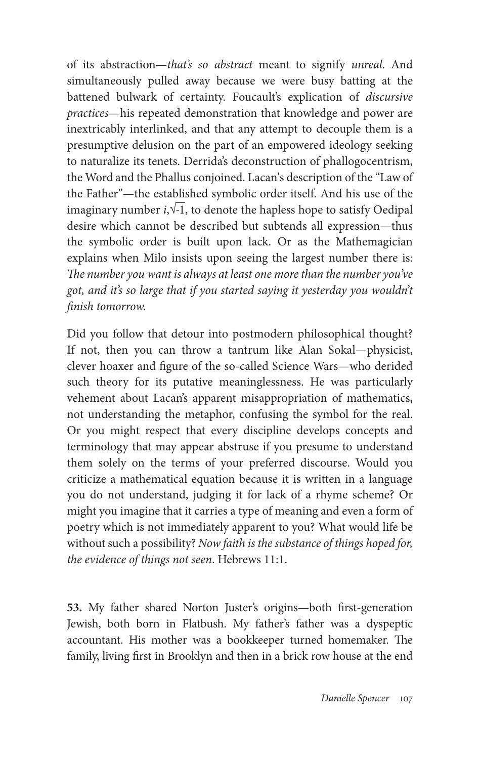of its abstraction—*that's so abstract* meant to signify *unreal*. And simultaneously pulled away because we were busy batting at the battened bulwark of certainty. Foucault's explication of *discursive practices*—his repeated demonstration that knowledge and power are inextricably interlinked, and that any attempt to decouple them is a presumptive delusion on the part of an empowered ideology seeking to naturalize its tenets. Derrida's deconstruction of phallogocentrism, the Word and the Phallus conjoined. Lacan's description of the "Law of the Father"—the established symbolic order itself. And his use of the imaginary number  $i, \sqrt{-1}$ , to denote the hapless hope to satisfy Oedipal desire which cannot be described but subtends all expression—thus the symbolic order is built upon lack. Or as the Mathemagician explains when Milo insists upon seeing the largest number there is: *The number you want is always at least one more than the number you've got, and it's so large that if you started saying it yesterday you wouldn't finish tomorrow.*

Did you follow that detour into postmodern philosophical thought? If not, then you can throw a tantrum like Alan Sokal—physicist, clever hoaxer and figure of the so-called Science Wars—who derided such theory for its putative meaninglessness. He was particularly vehement about Lacan's apparent misappropriation of mathematics, not understanding the metaphor, confusing the symbol for the real. Or you might respect that every discipline develops concepts and terminology that may appear abstruse if you presume to understand them solely on the terms of your preferred discourse. Would you criticize a mathematical equation because it is written in a language you do not understand, judging it for lack of a rhyme scheme? Or might you imagine that it carries a type of meaning and even a form of poetry which is not immediately apparent to you? What would life be without such a possibility? *Now faith is the substance of things hoped for, the evidence of things not seen*. Hebrews 11:1.

**53.** My father shared Norton Juster's origins—both first-generation Jewish, both born in Flatbush. My father's father was a dyspeptic accountant. His mother was a bookkeeper turned homemaker. The family, living first in Brooklyn and then in a brick row house at the end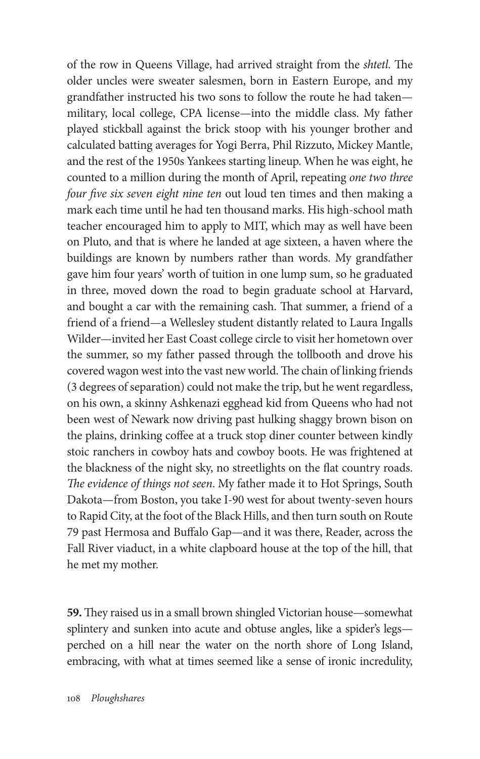of the row in Queens Village, had arrived straight from the *shtetl*. The older uncles were sweater salesmen, born in Eastern Europe, and my grandfather instructed his two sons to follow the route he had taken military, local college, CPA license—into the middle class. My father played stickball against the brick stoop with his younger brother and calculated batting averages for Yogi Berra, Phil Rizzuto, Mickey Mantle, and the rest of the 1950s Yankees starting lineup. When he was eight, he counted to a million during the month of April, repeating *one two three four five six seven eight nine ten* out loud ten times and then making a mark each time until he had ten thousand marks. His high-school math teacher encouraged him to apply to MIT, which may as well have been on Pluto, and that is where he landed at age sixteen, a haven where the buildings are known by numbers rather than words. My grandfather gave him four years' worth of tuition in one lump sum, so he graduated in three, moved down the road to begin graduate school at Harvard, and bought a car with the remaining cash. That summer, a friend of a friend of a friend—a Wellesley student distantly related to Laura Ingalls Wilder—invited her East Coast college circle to visit her hometown over the summer, so my father passed through the tollbooth and drove his covered wagon west into the vast new world. The chain of linking friends (3 degrees of separation) could not make the trip, but he went regardless, on his own, a skinny Ashkenazi egghead kid from Queens who had not been west of Newark now driving past hulking shaggy brown bison on the plains, drinking coffee at a truck stop diner counter between kindly stoic ranchers in cowboy hats and cowboy boots. He was frightened at the blackness of the night sky, no streetlights on the flat country roads. *The evidence of things not seen*. My father made it to Hot Springs, South Dakota—from Boston, you take I-90 west for about twenty-seven hours to Rapid City, at the foot of the Black Hills, and then turn south on Route 79 past Hermosa and Buffalo Gap—and it was there, Reader, across the Fall River viaduct, in a white clapboard house at the top of the hill, that he met my mother.

**59.** They raised us in a small brown shingled Victorian house—somewhat splintery and sunken into acute and obtuse angles, like a spider's legs perched on a hill near the water on the north shore of Long Island, embracing, with what at times seemed like a sense of ironic incredulity,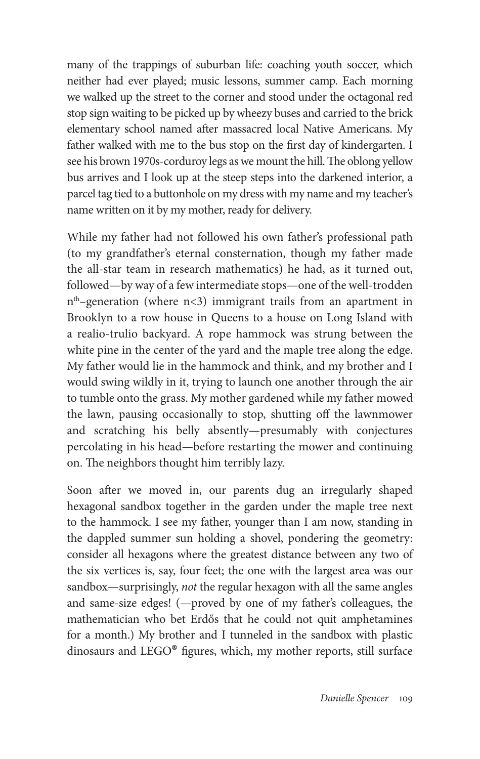many of the trappings of suburban life: coaching youth soccer, which neither had ever played; music lessons, summer camp. Each morning we walked up the street to the corner and stood under the octagonal red stop sign waiting to be picked up by wheezy buses and carried to the brick elementary school named after massacred local Native Americans. My father walked with me to the bus stop on the first day of kindergarten. I see his brown 1970s-corduroy legs as we mount the hill. The oblong yellow bus arrives and I look up at the steep steps into the darkened interior, a parcel tag tied to a buttonhole on my dress with my name and my teacher's name written on it by my mother, ready for delivery.

While my father had not followed his own father's professional path (to my grandfather's eternal consternation, though my father made the all-star team in research mathematics) he had, as it turned out, followed—by way of a few intermediate stops—one of the well-trodden  $n<sup>th</sup>$ –generation (where n<3) immigrant trails from an apartment in Brooklyn to a row house in Queens to a house on Long Island with a realio-trulio backyard. A rope hammock was strung between the white pine in the center of the yard and the maple tree along the edge. My father would lie in the hammock and think, and my brother and I would swing wildly in it, trying to launch one another through the air to tumble onto the grass. My mother gardened while my father mowed the lawn, pausing occasionally to stop, shutting off the lawnmower and scratching his belly absently—presumably with conjectures percolating in his head—before restarting the mower and continuing on. The neighbors thought him terribly lazy.

Soon after we moved in, our parents dug an irregularly shaped hexagonal sandbox together in the garden under the maple tree next to the hammock. I see my father, younger than I am now, standing in the dappled summer sun holding a shovel, pondering the geometry: consider all hexagons where the greatest distance between any two of the six vertices is, say, four feet; the one with the largest area was our sandbox—surprisingly, *not* the regular hexagon with all the same angles and same-size edges! (—proved by one of my father's colleagues, the mathematician who bet Erdős that he could not quit amphetamines for a month.) My brother and I tunneled in the sandbox with plastic dinosaurs and LEGO® figures, which, my mother reports, still surface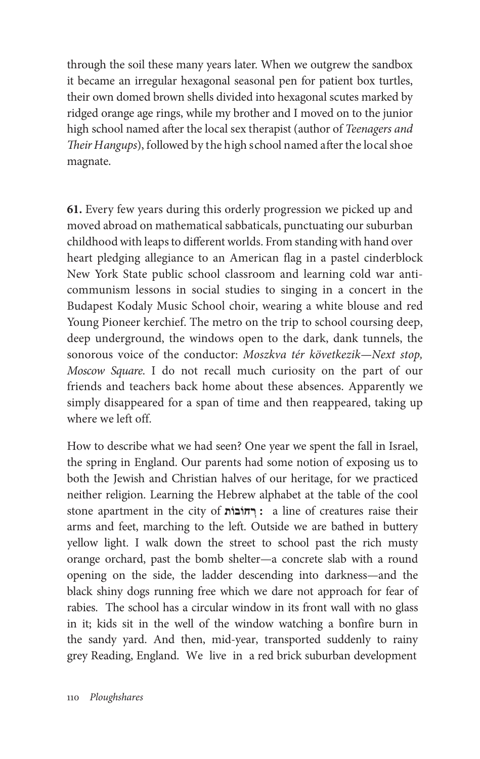through the soil these many years later. When we outgrew the sandbox it became an irregular hexagonal seasonal pen for patient box turtles, their own domed brown shells divided into hexagonal scutes marked by ridged orange age rings, while my brother and I moved on to the junior high school named after the local sex therapist (author of *Teenagers and Their Hangups*), followed by the high school named after the local shoe magnate.

**61.** Every few years during this orderly progression we picked up and moved abroad on mathematical sabbaticals, punctuating our suburban childhood with leaps to different worlds. From standing with hand over heart pledging allegiance to an American flag in a pastel cinderblock New York State public school classroom and learning cold war anticommunism lessons in social studies to singing in a concert in the Budapest Kodaly Music School choir, wearing a white blouse and red Young Pioneer kerchief. The metro on the trip to school coursing deep, deep underground, the windows open to the dark, dank tunnels, the sonorous voice of the conductor: *Moszkva tér következik—Next stop, Moscow Square*. I do not recall much curiosity on the part of our friends and teachers back home about these absences. Apparently we simply disappeared for a span of time and then reappeared, taking up where we left off.

How to describe what we had seen? One year we spent the fall in Israel, the spring in England. Our parents had some notion of exposing us to both the Jewish and Christian halves of our heritage, for we practiced neither religion. Learning the Hebrew alphabet at the table of the cool stone apartment in the city of a line of creatures raise their arms and feet, marching to the left. Outside we are bathed in buttery yellow light. I walk down the street to school past the rich musty orange orchard, past the bomb shelter—a concrete slab with a round opening on the side, the ladder descending into darkness—and the black shiny dogs running free which we dare not approach for fear of rabies. The school has a circular window in its front wall with no glass in it; kids sit in the well of the window watching a bonfire burn in the sandy yard. And then, mid-year, transported suddenly to rainy grey Reading, England. We live in a red brick suburban development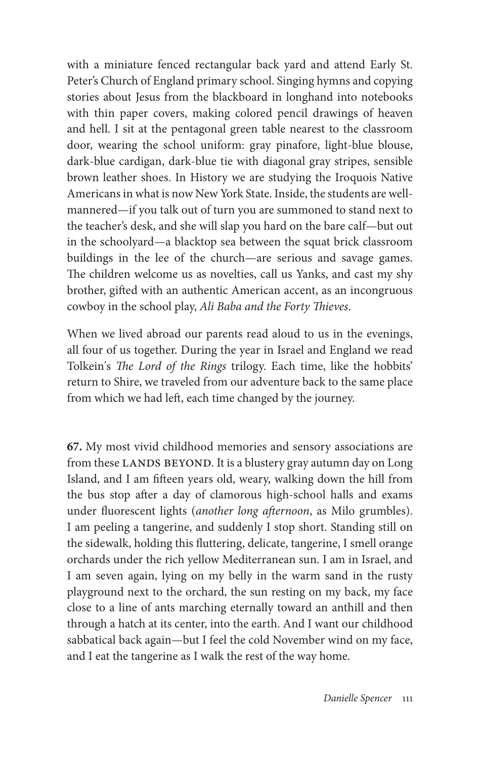with a miniature fenced rectangular back yard and attend Early St. Peter's Church of England primary school. Singing hymns and copying stories about Jesus from the blackboard in longhand into notebooks with thin paper covers, making colored pencil drawings of heaven and hell. I sit at the pentagonal green table nearest to the classroom door, wearing the school uniform: gray pinafore, light-blue blouse, dark-blue cardigan, dark-blue tie with diagonal gray stripes, sensible brown leather shoes. In History we are studying the Iroquois Native Americans in what is now New York State. Inside, the students are wellmannered—if you talk out of turn you are summoned to stand next to the teacher's desk, and she will slap you hard on the bare calf—but out in the schoolyard—a blacktop sea between the squat brick classroom buildings in the lee of the church—are serious and savage games. The children welcome us as novelties, call us Yanks, and cast my shy brother, gifted with an authentic American accent, as an incongruous cowboy in the school play, *Ali Baba and the Forty Thieves*.

When we lived abroad our parents read aloud to us in the evenings, all four of us together. During the year in Israel and England we read Tolkein's *The Lord of the Rings* trilogy. Each time, like the hobbits' return to Shire, we traveled from our adventure back to the same place from which we had left, each time changed by the journey.

**67.** My most vivid childhood memories and sensory associations are from these LANDS BEYOND. It is a blustery gray autumn day on Long Island, and I am fifteen years old, weary, walking down the hill from the bus stop after a day of clamorous high-school halls and exams under fluorescent lights (*another long afternoon*, as Milo grumbles). I am peeling a tangerine, and suddenly I stop short. Standing still on the sidewalk, holding this fluttering, delicate, tangerine, I smell orange orchards under the rich yellow Mediterranean sun. I am in Israel, and I am seven again, lying on my belly in the warm sand in the rusty playground next to the orchard, the sun resting on my back, my face close to a line of ants marching eternally toward an anthill and then through a hatch at its center, into the earth. And I want our childhood sabbatical back again—but I feel the cold November wind on my face, and I eat the tangerine as I walk the rest of the way home.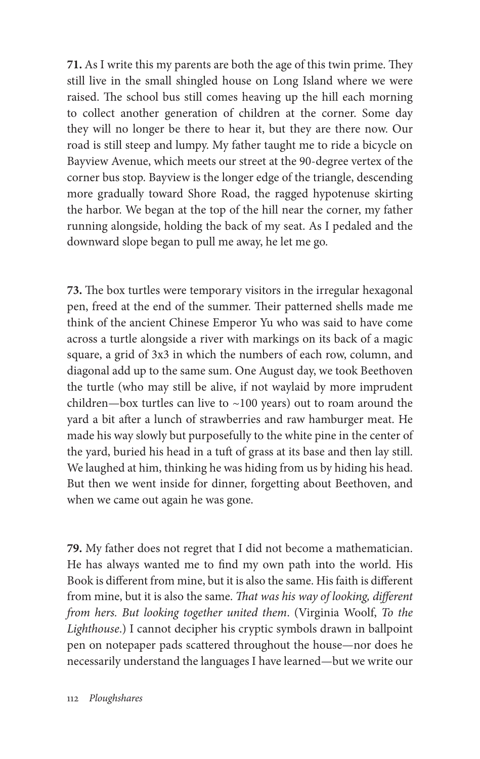**71.** As I write this my parents are both the age of this twin prime. They still live in the small shingled house on Long Island where we were raised. The school bus still comes heaving up the hill each morning to collect another generation of children at the corner. Some day they will no longer be there to hear it, but they are there now. Our road is still steep and lumpy. My father taught me to ride a bicycle on Bayview Avenue, which meets our street at the 90-degree vertex of the corner bus stop. Bayview is the longer edge of the triangle, descending more gradually toward Shore Road, the ragged hypotenuse skirting the harbor. We began at the top of the hill near the corner, my father running alongside, holding the back of my seat. As I pedaled and the downward slope began to pull me away, he let me go.

**73.** The box turtles were temporary visitors in the irregular hexagonal pen, freed at the end of the summer. Their patterned shells made me think of the ancient Chinese Emperor Yu who was said to have come across a turtle alongside a river with markings on its back of a magic square, a grid of 3x3 in which the numbers of each row, column, and diagonal add up to the same sum. One August day, we took Beethoven the turtle (who may still be alive, if not waylaid by more imprudent children—box turtles can live to  $\sim$ 100 years) out to roam around the yard a bit after a lunch of strawberries and raw hamburger meat. He made his way slowly but purposefully to the white pine in the center of the yard, buried his head in a tuft of grass at its base and then lay still. We laughed at him, thinking he was hiding from us by hiding his head. But then we went inside for dinner, forgetting about Beethoven, and when we came out again he was gone.

**79.** My father does not regret that I did not become a mathematician. He has always wanted me to find my own path into the world. His Book is different from mine, but it is also the same. His faith is different from mine, but it is also the same. *That was his way of looking, different from hers. But looking together united them*. (Virginia Woolf, *To the Lighthouse*.) I cannot decipher his cryptic symbols drawn in ballpoint pen on notepaper pads scattered throughout the house—nor does he necessarily understand the languages I have learned—but we write our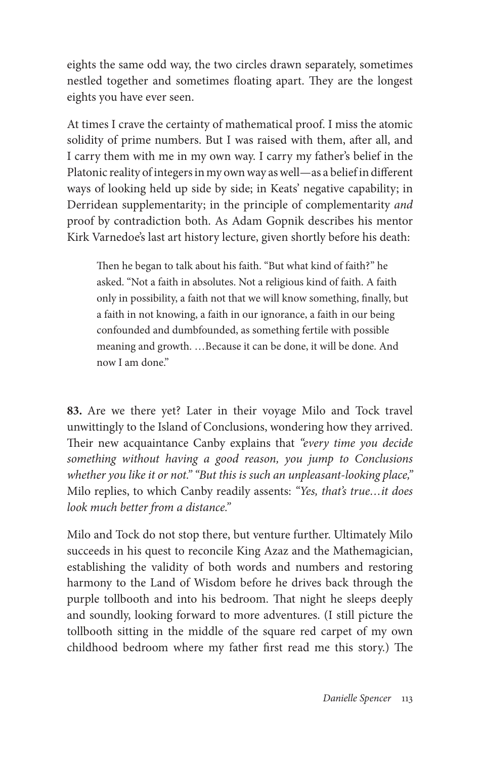eights the same odd way, the two circles drawn separately, sometimes nestled together and sometimes floating apart. They are the longest eights you have ever seen.

At times I crave the certainty of mathematical proof. I miss the atomic solidity of prime numbers. But I was raised with them, after all, and I carry them with me in my own way. I carry my father's belief in the Platonic reality of integers in my own way as well—as a belief in different ways of looking held up side by side; in Keats' negative capability; in Derridean supplementarity; in the principle of complementarity *and* proof by contradiction both. As Adam Gopnik describes his mentor Kirk Varnedoe's last art history lecture, given shortly before his death:

Then he began to talk about his faith. "But what kind of faith?" he asked. "Not a faith in absolutes. Not a religious kind of faith. A faith only in possibility, a faith not that we will know something, finally, but a faith in not knowing, a faith in our ignorance, a faith in our being confounded and dumbfounded, as something fertile with possible meaning and growth. …Because it can be done, it will be done. And now I am done."

**83.** Are we there yet? Later in their voyage Milo and Tock travel unwittingly to the Island of Conclusions, wondering how they arrived. Their new acquaintance Canby explains that *"every time you decide something without having a good reason, you jump to Conclusions whether you like it or not." "But this is such an unpleasant-looking place,"* Milo replies, to which Canby readily assents: *"Yes, that's true…it does look much better from a distance."*

Milo and Tock do not stop there, but venture further. Ultimately Milo succeeds in his quest to reconcile King Azaz and the Mathemagician, establishing the validity of both words and numbers and restoring harmony to the Land of Wisdom before he drives back through the purple tollbooth and into his bedroom. That night he sleeps deeply and soundly, looking forward to more adventures. (I still picture the tollbooth sitting in the middle of the square red carpet of my own childhood bedroom where my father first read me this story.) The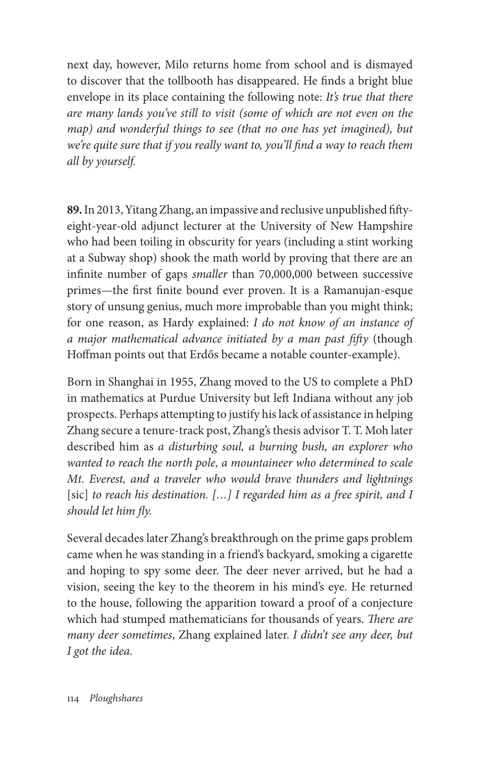next day, however, Milo returns home from school and is dismayed to discover that the tollbooth has disappeared. He finds a bright blue envelope in its place containing the following note: *It's true that there are many lands you've still to visit (some of which are not even on the map) and wonderful things to see (that no one has yet imagined), but we're quite sure that if you really want to, you'll find a way to reach them all by yourself.*

**89.** In 2013, Yitang Zhang, an impassive and reclusive unpublished fiftyeight-year-old adjunct lecturer at the University of New Hampshire who had been toiling in obscurity for years (including a stint working at a Subway shop) shook the math world by proving that there are an infinite number of gaps *smaller* than 70,000,000 between successive primes—the first finite bound ever proven. It is a Ramanujan-esque story of unsung genius, much more improbable than you might think; for one reason, as Hardy explained: *I do not know of an instance of a major mathematical advance initiated by a man past fifty* (though Hoffman points out that Erdős became a notable counter-example).

Born in Shanghai in 1955, Zhang moved to the US to complete a PhD in mathematics at Purdue University but left Indiana without any job prospects. Perhaps attempting to justify his lack of assistance in helping Zhang secure a tenure-track post, Zhang's thesis advisor T. T. Moh later described him as *a disturbing soul, a burning bush, an explorer who wanted to reach the north pole, a mountaineer who determined to scale Mt. Everest, and a traveler who would brave thunders and lightnings* [sic] *to reach his destination.* [...] I regarded him as a free spirit, and I *should let him fly.*

Several decades later Zhang's breakthrough on the prime gaps problem came when he was standing in a friend's backyard, smoking a cigarette and hoping to spy some deer. The deer never arrived, but he had a vision, seeing the key to the theorem in his mind's eye. He returned to the house, following the apparition toward a proof of a conjecture which had stumped mathematicians for thousands of years. *There are many deer sometimes*, Zhang explained later. *I didn't see any deer, but I got the idea.*